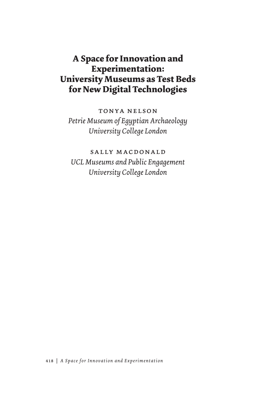# **A Space for Innovation and Experimentation: University Museums as Test Beds for New Digital Technologies**

tonya nelson *Petrie Museum of Egyptian Archaeology University College London*

sally macdonald *UCL Museums and Public Engagement University College London*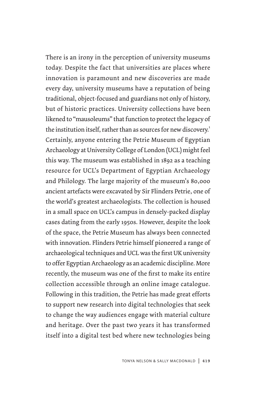There is an irony in the perception of university museums today. Despite the fact that universities are places where innovation is paramount and new discoveries are made every day, university museums have a reputation of being traditional, object-focused and guardians not only of history, but of historic practices. University collections have been likened to "mausoleums" that function to protect the legacy of the institution itself, rather than as sources for new discovery.<sup>1</sup> Certainly, anyone entering the Petrie Museum of Egyptian Archaeology at University College of London (UCL) might feel this way. The museum was established in 1892 as a teaching resource for UCL's Department of Egyptian Archaeology and Philology. The large majority of the museum's 80,000 ancient artefacts were excavated by Sir Flinders Petrie, one of the world's greatest archaeologists. The collection is housed in a small space on UCL's campus in densely-packed display cases dating from the early 1950s. However, despite the look of the space, the Petrie Museum has always been connected with innovation. Flinders Petrie himself pioneered a range of archaeological techniques and UCL was the first UK university to offer Egyptian Archaeology as an academic discipline. More recently, the museum was one of the first to make its entire collection accessible through an online image catalogue. Following in this tradition, the Petrie has made great efforts to support new research into digital technologies that seek to change the way audiences engage with material culture and heritage. Over the past two years it has transformed itself into a digital test bed where new technologies being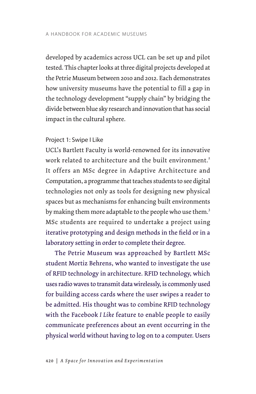developed by academics across UCL can be set up and pilot tested. This chapter looks at three digital projects developed at the Petrie Museum between 2010 and 2012. Each demonstrates how university museums have the potential to fill a gap in the technology development "supply chain" by bridging the divide between blue sky research and innovation that has social impact in the cultural sphere.

### Project 1: Swipe I Like

UCL's Bartlett Faculty is world-renowned for its innovative work related to architecture and the built environment.<sup>2</sup> It offers an MSc degree in Adaptive Architecture and Computation, a programme that teaches students to see digital technologies not only as tools for designing new physical spaces but as mechanisms for enhancing built environments by making them more adaptable to the people who use them.<sup>3</sup> MSc students are required to undertake a project using iterative prototyping and design methods in the field or in a laboratory setting in order to complete their degree.

The Petrie Museum was approached by Bartlett MSc student Mortiz Behrens, who wanted to investigate the use of RFID technology in architecture. RFID technology, which uses radio waves to transmit data wirelessly, is commonly used for building access cards where the user swipes a reader to be admitted. His thought was to combine RFID technology with the Facebook *I Like* feature to enable people to easily communicate preferences about an event occurring in the physical world without having to log on to a computer. Users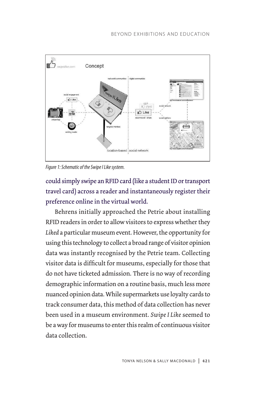

*Figure 1: Schematic of the Swipe I Like system.*

could simply swipe an RFID card (like a student ID or transport travel card) across a reader and instantaneously register their preference online in the virtual world.

Behrens initially approached the Petrie about installing RFID readers in order to allow visitors to express whether they *Liked* a particular museum event. However, the opportunity for using this technology to collect a broad range of visitor opinion data was instantly recognised by the Petrie team. Collecting visitor data is difficult for museums, especially for those that do not have ticketed admission. There is no way of recording demographic information on a routine basis, much less more nuanced opinion data. While supermarkets use loyalty cards to track consumer data, this method of data collection has never been used in a museum environment. *Swipe I Like* seemed to be a way for museums to enter this realm of continuous visitor data collection.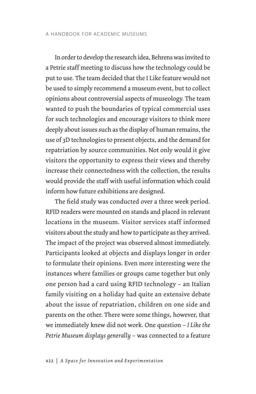In order to develop the research idea, Behrens was invited to a Petrie staff meeting to discuss how the technology could be put to use. The team decided that the I Like feature would not be used to simply recommend a museum event, but to collect opinions about controversial aspects of museology. The team wanted to push the boundaries of typical commercial uses for such technologies and encourage visitors to think more deeply about issues such as the display of human remains, the use of 3D technologies to present objects, and the demand for repatriation by source communities. Not only would it give visitors the opportunity to express their views and thereby increase their connectedness with the collection, the results would provide the staff with useful information which could inform how future exhibitions are designed.

The field study was conducted over a three week period. RFID readers were mounted on stands and placed in relevant locations in the museum. Visitor services staff informed visitors about the study and how to participate as they arrived. The impact of the project was observed almost immediately. Participants looked at objects and displays longer in order to formulate their opinions. Even more interesting were the instances where families or groups came together but only one person had a card using RFID technology – an Italian family visiting on a holiday had quite an extensive debate about the issue of repatriation, children on one side and parents on the other. There were some things, however, that we immediately knew did not work. One question – *I Like the Petrie Museum displays generally* – was connected to a feature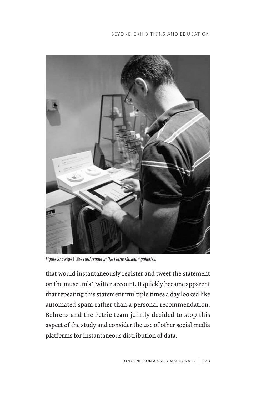### BEYOND EXHIBITIONS AND EDUCATION



*Figure 2:* Swipe I Like *card reader in the Petrie Museum galleries.*

that would instantaneously register and tweet the statement on the museum's Twitter account. It quickly became apparent that repeating this statement multiple times a day looked like automated spam rather than a personal recommendation. Behrens and the Petrie team jointly decided to stop this aspect of the study and consider the use of other social media platforms for instantaneous distribution of data.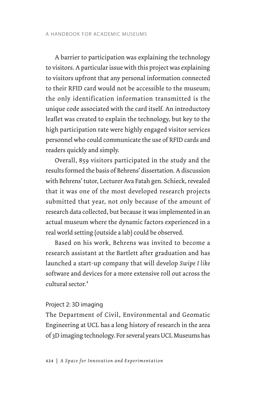A barrier to participation was explaining the technology to visitors. A particular issue with this project was explaining to visitors upfront that any personal information connected to their RFID card would not be accessible to the museum; the only identification information transmitted is the unique code associated with the card itself. An introductory leaflet was created to explain the technology, but key to the high participation rate were highly engaged visitor services personnel who could communicate the use of RFID cards and readers quickly and simply.

Overall, 859 visitors participated in the study and the results formed the basis of Behrens' dissertation. A discussion with Behrens' tutor, Lecturer Ava Fatah gen. Schieck, revealed that it was one of the most developed research projects submitted that year, not only because of the amount of research data collected, but because it was implemented in an actual museum where the dynamic factors experienced in a real world setting (outside a lab) could be observed.

Based on his work, Behrens was invited to become a research assistant at the Bartlett after graduation and has launched a start-up company that will develop *Swipe I like*  software and devices for a more extensive roll out across the cultural sector.<sup>4</sup>

### Project 2: 3D imaging

The Department of Civil, Environmental and Geomatic Engineering at UCL has a long history of research in the area of 3D imaging technology. For several years UCL Museums has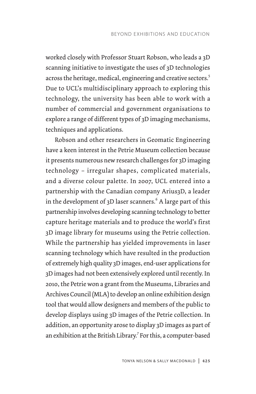worked closely with Professor Stuart Robson, who leads a 3D scanning initiative to investigate the uses of 3D technologies across the heritage, medical, engineering and creative sectors.<sup>5</sup> Due to UCL's multidisciplinary approach to exploring this technology, the university has been able to work with a number of commercial and government organisations to explore a range of different types of 3D imaging mechanisms, techniques and applications.

Robson and other researchers in Geomatic Engineering have a keen interest in the Petrie Museum collection because it presents numerous new research challenges for 3D imaging technology – irregular shapes, complicated materials, and a diverse colour palette. In 2007, UCL entered into a partnership with the Canadian company Arius3D, a leader in the development of 3D laser scanners. $^6$  A large part of this partnership involves developing scanning technology to better capture heritage materials and to produce the world's first 3D image library for museums using the Petrie collection. While the partnership has yielded improvements in laser scanning technology which have resulted in the production of extremely high quality 3D images, end-user applications for 3D images had not been extensively explored until recently. In 2010, the Petrie won a grant from the Museums, Libraries and Archives Council (MLA) to develop an online exhibition design tool that would allow designers and members of the public to develop displays using 3D images of the Petrie collection. In addition, an opportunity arose to display 3D images as part of an exhibition at the British Library.<sup>7</sup> For this, a computer-based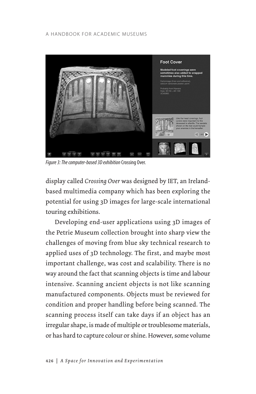### A HANDBOOK FOR ACADEMIC MUSEUMS



*Figure 3: The computer-based 3D exhibition* Crossing Over.

display called *Crossing Over* was designed by IET, an Irelandbased multimedia company which has been exploring the potential for using 3D images for large-scale international touring exhibitions.

Developing end-user applications using 3D images of the Petrie Museum collection brought into sharp view the challenges of moving from blue sky technical research to applied uses of 3D technology. The first, and maybe most important challenge, was cost and scalability. There is no way around the fact that scanning objects is time and labour intensive. Scanning ancient objects is not like scanning manufactured components. Objects must be reviewed for condition and proper handling before being scanned. The scanning process itself can take days if an object has an irregular shape, is made of multiple or troublesome materials, or has hard to capture colour or shine. However, some volume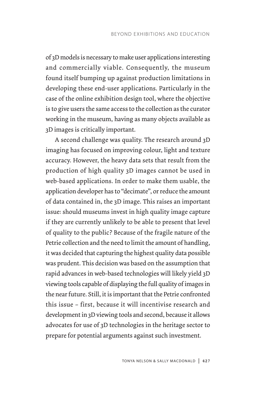of 3D models is necessary to make user applications interesting and commercially viable. Consequently, the museum found itself bumping up against production limitations in developing these end-user applications. Particularly in the case of the online exhibition design tool, where the objective is to give users the same access to the collection as the curator working in the museum, having as many objects available as 3D images is critically important.

A second challenge was quality. The research around 3D imaging has focused on improving colour, light and texture accuracy. However, the heavy data sets that result from the production of high quality 3D images cannot be used in web-based applications. In order to make them usable, the application developer has to "decimate", or reduce the amount of data contained in, the 3D image. This raises an important issue: should museums invest in high quality image capture if they are currently unlikely to be able to present that level of quality to the public? Because of the fragile nature of the Petrie collection and the need to limit the amount of handling, it was decided that capturing the highest quality data possible was prudent. This decision was based on the assumption that rapid advances in web-based technologies will likely yield 3D viewing tools capable of displaying the full quality of images in the near future. Still, it is important that the Petrie confronted this issue – first, because it will incentivise research and development in 3D viewing tools and second, because it allows advocates for use of 3D technologies in the heritage sector to prepare for potential arguments against such investment.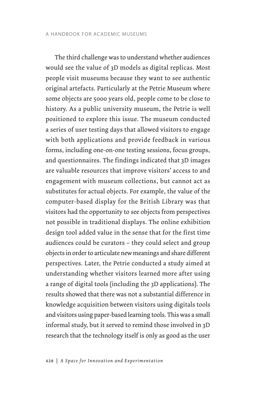The third challenge was to understand whether audiences would see the value of 3D models as digital replicas. Most people visit museums because they want to see authentic original artefacts. Particularly at the Petrie Museum where some objects are 5000 years old, people come to be close to history. As a public university museum, the Petrie is well positioned to explore this issue. The museum conducted a series of user testing days that allowed visitors to engage with both applications and provide feedback in various forms, including one-on-one testing sessions, focus groups, and questionnaires. The findings indicated that 3D images are valuable resources that improve visitors' access to and engagement with museum collections, but cannot act as substitutes for actual objects. For example, the value of the computer-based display for the British Library was that visitors had the opportunity to see objects from perspectives not possible in traditional displays. The online exhibition design tool added value in the sense that for the first time audiences could be curators – they could select and group objects in order to articulate new meanings and share different perspectives. Later, the Petrie conducted a study aimed at understanding whether visitors learned more after using a range of digital tools (including the 3D applications). The results showed that there was not a substantial difference in knowledge acquisition between visitors using digitals tools and visitors using paper-based learning tools. This was a small informal study, but it served to remind those involved in 3D research that the technology itself is only as good as the user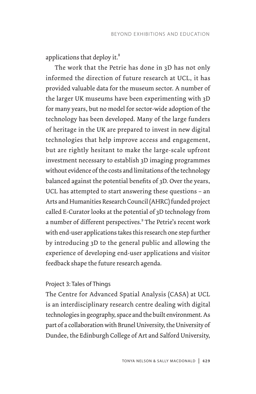applications that deploy it.<sup>8</sup>

The work that the Petrie has done in 3D has not only informed the direction of future research at UCL, it has provided valuable data for the museum sector. A number of the larger UK museums have been experimenting with 3D for many years, but no model for sector-wide adoption of the technology has been developed. Many of the large funders of heritage in the UK are prepared to invest in new digital technologies that help improve access and engagement, but are rightly hesitant to make the large-scale upfront investment necessary to establish 3D imaging programmes without evidence of the costs and limitations of the technology balanced against the potential benefits of 3D. Over the years, UCL has attempted to start answering these questions – an Arts and Humanities Research Council (AHRC) funded project called E-Curator looks at the potential of 3D technology from a number of different perspectives.<sup>9</sup> The Petrie's recent work with end-user applications takes this research one step further by introducing 3D to the general public and allowing the experience of developing end-user applications and visitor feedback shape the future research agenda.

# Project 3: Tales of Things

The Centre for Advanced Spatial Analysis (CASA) at UCL is an interdisciplinary research centre dealing with digital technologies in geography, space and the built environment. As part of a collaboration with Brunel University, the University of Dundee, the Edinburgh College of Art and Salford University,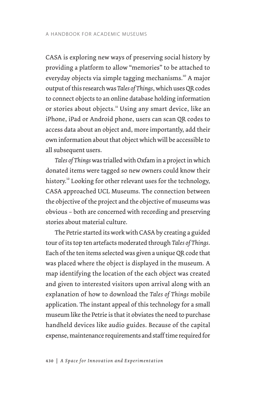CASA is exploring new ways of preserving social history by providing a platform to allow "memories" to be attached to everyday objects via simple tagging mechanisms.10 A major output of this research was *Tales of Things*, which uses QR codes to connect objects to an online database holding information or stories about objects.<sup>11</sup> Using any smart device, like an iPhone, iPad or Android phone, users can scan QR codes to access data about an object and, more importantly, add their own information about that object which will be accessible to all subsequent users.

*Tales of Things* was trialled with Oxfam in a project in which donated items were tagged so new owners could know their history.<sup>12</sup> Looking for other relevant uses for the technology, CASA approached UCL Museums. The connection between the objective of the project and the objective of museums was obvious – both are concerned with recording and preserving stories about material culture.

The Petrie started its work with CASA by creating a guided tour of its top ten artefacts moderated through *Tales of Things*. Each of the ten items selected was given a unique QR code that was placed where the object is displayed in the museum. A map identifying the location of the each object was created and given to interested visitors upon arrival along with an explanation of how to download the *Tales of Things* mobile application. The instant appeal of this technology for a small museum like the Petrie is that it obviates the need to purchase handheld devices like audio guides. Because of the capital expense, maintenance requirements and staff time required for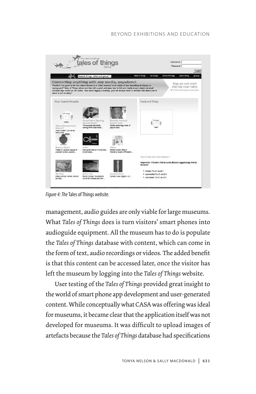### BEYOND EXHIBITIONS AND EDUCATION



*Figure 4: The* Tales of Things *website.*

management, audio guides are only viable for large museums. What *Tales of Things* does is turn visitors' smart phones into audioguide equipment. All the museum has to do is populate the *Tales of Things* database with content, which can come in the form of text, audio recordings or videos. The added benefit is that this content can be accessed later, once the visitor has left the museum by logging into the *Tales of Things* website.

User testing of the *Tales of Things* provided great insight to the world of smart phone app development and user-generated content. While conceptually what CASA was offering was ideal for museums, it became clear that the application itself was not developed for museums. It was difficult to upload images of artefacts because the *Tales of Things* database had specifications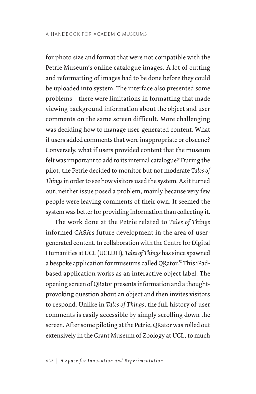for photo size and format that were not compatible with the Petrie Museum's online catalogue images. A lot of cutting and reformatting of images had to be done before they could be uploaded into system. The interface also presented some problems – there were limitations in formatting that made viewing background information about the object and user comments on the same screen difficult. More challenging was deciding how to manage user-generated content. What if users added comments that were inappropriate or obscene? Conversely, what if users provided content that the museum felt was important to add to its internal catalogue? During the pilot, the Petrie decided to monitor but not moderate *Tales of Things* in order to see how visitors used the system. As it turned out, neither issue posed a problem, mainly because very few people were leaving comments of their own. It seemed the system was better for providing information than collecting it.

The work done at the Petrie related to *Tales of Things* informed CASA's future development in the area of usergenerated content. In collaboration with the Centre for Digital Humanities at UCL (UCLDH), *Tales of Things* has since spawned a bespoke application for museums called QRator.<sup>13</sup> This iPadbased application works as an interactive object label. The opening screen of QRator presents information and a thoughtprovoking question about an object and then invites visitors to respond. Unlike in *Tales of Things*, the full history of user comments is easily accessible by simply scrolling down the screen. After some piloting at the Petrie, QRator was rolled out extensively in the Grant Museum of Zoology at UCL, to much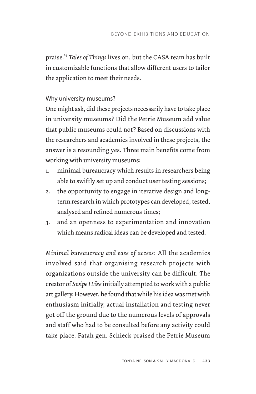praise.<sup>14</sup> *Tales of Things* lives on, but the CASA team has built in customizable functions that allow different users to tailor the application to meet their needs.

# Why university museums?

One might ask, did these projects necessarily have to take place in university museums? Did the Petrie Museum add value that public museums could not? Based on discussions with the researchers and academics involved in these projects, the answer is a resounding yes. Three main benefits come from working with university museums:

- 1. minimal bureaucracy which results in researchers being able to swiftly set up and conduct user testing sessions;
- 2. the opportunity to engage in iterative design and longterm research in which prototypes can developed, tested, analysed and refined numerous times;
- 3. and an openness to experimentation and innovation which means radical ideas can be developed and tested.

*Minimal bureaucracy and ease of access*: All the academics involved said that organising research projects with organizations outside the university can be difficult. The creator of *Swipe I Like* initially attempted to work with a public art gallery. However, he found that while his idea was met with enthusiasm initially, actual installation and testing never got off the ground due to the numerous levels of approvals and staff who had to be consulted before any activity could take place. Fatah gen. Schieck praised the Petrie Museum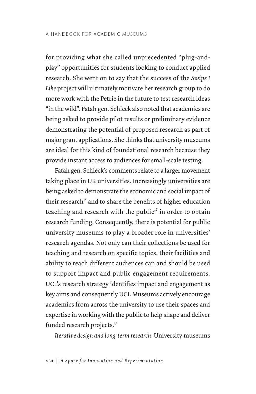for providing what she called unprecedented "plug-andplay" opportunities for students looking to conduct applied research. She went on to say that the success of the *Swipe I Like* project will ultimately motivate her research group to do more work with the Petrie in the future to test research ideas "in the wild". Fatah gen. Schieck also noted that academics are being asked to provide pilot results or preliminary evidence demonstrating the potential of proposed research as part of major grant applications. She thinks that university museums are ideal for this kind of foundational research because they provide instant access to audiences for small-scale testing.

Fatah gen. Schieck's comments relate to a larger movement taking place in UK universities. Increasingly universities are being asked to demonstrate the economic and social impact of their research<sup>15</sup> and to share the benefits of higher education teaching and research with the public<sup>16</sup> in order to obtain research funding. Consequently, there is potential for public university museums to play a broader role in universities' research agendas. Not only can their collections be used for teaching and research on specific topics, their facilities and ability to reach different audiences can and should be used to support impact and public engagement requirements. UCL's research strategy identifies impact and engagement as key aims and consequently UCL Museums actively encourage academics from across the university to use their spaces and expertise in working with the public to help shape and deliver funded research projects.<sup>17</sup>

*Iterative design and long-term research*: University museums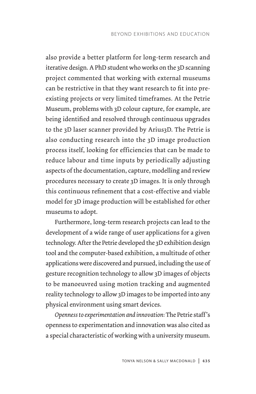also provide a better platform for long-term research and iterative design. A PhD student who works on the 3D scanning project commented that working with external museums can be restrictive in that they want research to fit into preexisting projects or very limited timeframes. At the Petrie Museum, problems with 3D colour capture, for example, are being identified and resolved through continuous upgrades to the 3D laser scanner provided by Arius3D. The Petrie is also conducting research into the 3D image production process itself, looking for efficiencies that can be made to reduce labour and time inputs by periodically adjusting aspects of the documentation, capture, modelling and review procedures necessary to create 3D images. It is only through this continuous refinement that a cost-effective and viable model for 3D image production will be established for other museums to adopt.

Furthermore, long-term research projects can lead to the development of a wide range of user applications for a given technology. After the Petrie developed the 3D exhibition design tool and the computer-based exhibition, a multitude of other applications were discovered and pursued, including the use of gesture recognition technology to allow 3D images of objects to be manoeuvred using motion tracking and augmented reality technology to allow 3D images to be imported into any physical environment using smart devices.

*Openness to experimentation and innovation*: The Petrie staff 's openness to experimentation and innovation was also cited as a special characteristic of working with a university museum.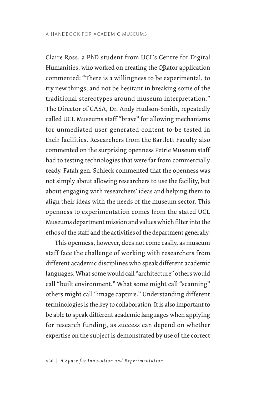Claire Ross, a PhD student from UCL's Centre for Digital Humanities, who worked on creating the QRator application commented: "There is a willingness to be experimental, to try new things, and not be hesitant in breaking some of the traditional stereotypes around museum interpretation." The Director of CASA, Dr. Andy Hudson-Smith, repeatedly called UCL Museums staff "brave" for allowing mechanisms for unmediated user-generated content to be tested in their facilities. Researchers from the Bartlett Faculty also commented on the surprising openness Petrie Museum staff had to testing technologies that were far from commercially ready. Fatah gen. Schieck commented that the openness was not simply about allowing researchers to use the facility, but about engaging with researchers' ideas and helping them to align their ideas with the needs of the museum sector. This openness to experimentation comes from the stated UCL Museums department mission and values which filter into the ethos of the staff and the activities of the department generally.

This openness, however, does not come easily, as museum staff face the challenge of working with researchers from different academic disciplines who speak different academic languages. What some would call "architecture" others would call "built environment." What some might call "scanning" others might call "image capture." Understanding different terminologies is the key to collaboration. It is also important to be able to speak different academic languages when applying for research funding, as success can depend on whether expertise on the subject is demonstrated by use of the correct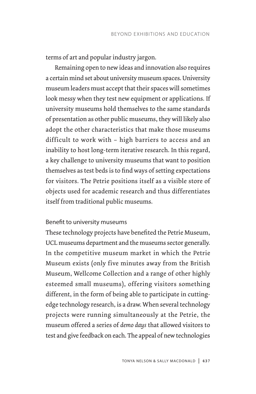terms of art and popular industry jargon.

Remaining open to new ideas and innovation also requires a certain mind set about university museum spaces. University museum leaders must accept that their spaces will sometimes look messy when they test new equipment or applications. If university museums hold themselves to the same standards of presentation as other public museums, they will likely also adopt the other characteristics that make those museums difficult to work with – high barriers to access and an inability to host long-term iterative research. In this regard, a key challenge to university museums that want to position themselves as test beds is to find ways of setting expectations for visitors. The Petrie positions itself as a visible store of objects used for academic research and thus differentiates itself from traditional public museums.

### Benefit to university museums

These technology projects have benefited the Petrie Museum, UCL museums department and the museums sector generally. In the competitive museum market in which the Petrie Museum exists (only five minutes away from the British Museum, Wellcome Collection and a range of other highly esteemed small museums), offering visitors something different, in the form of being able to participate in cuttingedge technology research, is a draw. When several technology projects were running simultaneously at the Petrie, the museum offered a series of *demo days* that allowed visitors to test and give feedback on each. The appeal of new technologies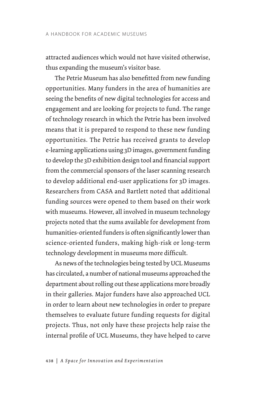attracted audiences which would not have visited otherwise, thus expanding the museum's visitor base.

The Petrie Museum has also benefitted from new funding opportunities. Many funders in the area of humanities are seeing the benefits of new digital technologies for access and engagement and are looking for projects to fund. The range of technology research in which the Petrie has been involved means that it is prepared to respond to these new funding opportunities. The Petrie has received grants to develop e-learning applications using 3D images, government funding to develop the 3D exhibition design tool and financial support from the commercial sponsors of the laser scanning research to develop additional end-user applications for 3D images. Researchers from CASA and Bartlett noted that additional funding sources were opened to them based on their work with museums. However, all involved in museum technology projects noted that the sums available for development from humanities-oriented funders is often significantly lower than science-oriented funders, making high-risk or long-term technology development in museums more difficult.

As news of the technologies being tested by UCL Museums has circulated, a number of national museums approached the department about rolling out these applications more broadly in their galleries. Major funders have also approached UCL in order to learn about new technologies in order to prepare themselves to evaluate future funding requests for digital projects. Thus, not only have these projects help raise the internal profile of UCL Museums, they have helped to carve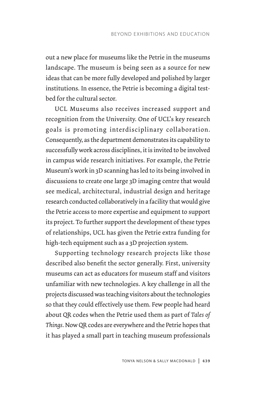out a new place for museums like the Petrie in the museums landscape. The museum is being seen as a source for new ideas that can be more fully developed and polished by larger institutions. In essence, the Petrie is becoming a digital testbed for the cultural sector.

UCL Museums also receives increased support and recognition from the University. One of UCL's key research goals is promoting interdisciplinary collaboration. Consequently, as the department demonstrates its capability to successfully work across disciplines, it is invited to be involved in campus wide research initiatives. For example, the Petrie Museum's work in 3D scanning has led to its being involved in discussions to create one large 3D imaging centre that would see medical, architectural, industrial design and heritage research conducted collaboratively in a facility that would give the Petrie access to more expertise and equipment to support its project. To further support the development of these types of relationships, UCL has given the Petrie extra funding for high-tech equipment such as a 3D projection system.

Supporting technology research projects like those described also benefit the sector generally. First, university museums can act as educators for museum staff and visitors unfamiliar with new technologies. A key challenge in all the projects discussed was teaching visitors about the technologies so that they could effectively use them. Few people had heard about QR codes when the Petrie used them as part of *Tales of Things*. Now QR codes are everywhere and the Petrie hopes that it has played a small part in teaching museum professionals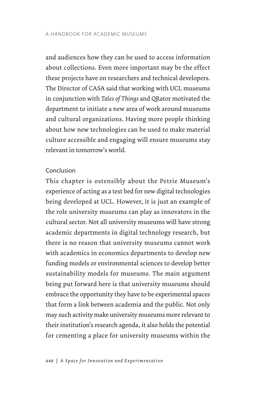and audiences how they can be used to access information about collections. Even more important may be the effect these projects have on researchers and technical developers. The Director of CASA said that working with UCL museums in conjunction with *Tales of Things* and QRator motivated the department to initiate a new area of work around museums and cultural organizations. Having more people thinking about how new technologies can be used to make material culture accessible and engaging will ensure museums stay relevant in tomorrow's world.

# Conclusion

This chapter is ostensibly about the Petrie Museum's experience of acting as a test bed for new digital technologies being developed at UCL. However, it is just an example of the role university museums can play as innovators in the cultural sector. Not all university museums will have strong academic departments in digital technology research, but there is no reason that university museums cannot work with academics in economics departments to develop new funding models or environmental sciences to develop better sustainability models for museums. The main argument being put forward here is that university museums should embrace the opportunity they have to be experimental spaces that form a link between academia and the public. Not only may such activity make university museums more relevant to their institution's research agenda, it also holds the potential for cementing a place for university museums within the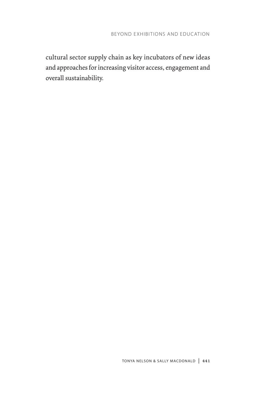cultural sector supply chain as key incubators of new ideas and approaches for increasing visitor access, engagement and overall sustainability.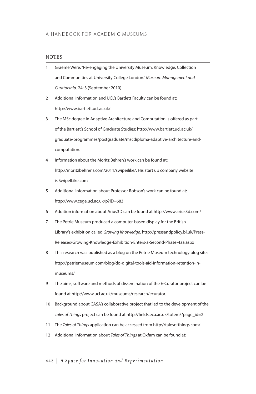#### **NOTES**

- 1 Graeme Were. "Re-engaging the University Museum: Knowledge, Collection and Communities at University College London." *Museum Management and Curatorship*. 24: 3 (September 2010).
- 2 Additional information and UCL's Bartlett Faculty can be found at: http://www.bartlett.ucl.ac.uk/
- 3 The MSc degree in Adaptive Architecture and Computation is offered as part of the Bartlett's School of Graduate Studies: http://www.bartlett.ucl.ac.uk/ graduate/programmes/postgraduate/mscdiploma-adaptive-architecture-andcomputation.
- 4 Information about the Moritz Behren's work can be found at: http://moritzbehrens.com/2011/swipeilike/. His start up company website is SwipeILike.com
- 5 Additional information about Professor Robson's work can be found at: http://www.cege.ucl.ac.uk/p?ID=683
- 6 Addition information about Arius3D can be found at http://www.arius3d.com/
- 7 The Petrie Museum produced a computer-based display for the British Library's exhibition called *Growing Knowledge*. http://pressandpolicy.bl.uk/Press-Releases/Growing-Knowledge-Exhibition-Enters-a-Second-Phase-4aa.aspx
- 8 This research was published as a blog on the Petrie Museum technology blog site: http://petriemuseum.com/blog/do-digital-tools-aid-information-retention-inmuseums/
- 9 The aims, software and methods of dissemination of the E-Curator project can be found at http://www.ucl.ac.uk/museums/research/ecurator.
- 10 Background about CASA's collaborative project that led to the development of the *Tales of Things* project can be found at http://fields.eca.ac.uk/totem/?page\_id=2
- 11 The *Tales of Things* application can be accessed from http://talesofthings.com/
- 12 Additional information about *Tales of Things* at Oxfam can be found at:

#### 442 | *A Space for Innovation and Experimentation*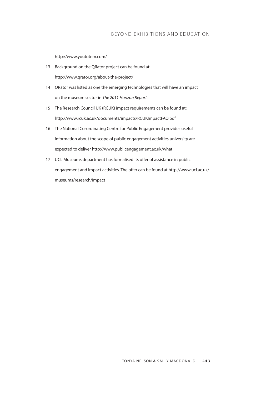http://www.youtotem.com/

- 13 Background on the QRator project can be found at: http://www.qrator.org/about-the-project/
- 14 QRator was listed as one the emerging technologies that will have an impact on the museum sector in *The 2011 Horizon Report.*
- 15 The Research Council UK (RCUK) impact requirements can be found at: http://www.rcuk.ac.uk/documents/impacts/RCUKImpactFAQ.pdf
- 16 The National Co-ordinating Centre for Public Engagement provides useful information about the scope of public engagement activities university are expected to deliver http://www.publicengagement.ac.uk/what
- 17 UCL Museums department has formalised its offer of assistance in public engagement and impact activities. The offer can be found at http://www.ucl.ac.uk/ museums/research/impact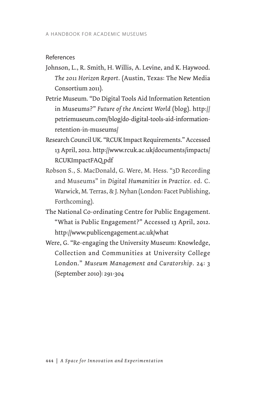### References

- Johnson, L., R. Smith, H. Willis, A. Levine, and K. Haywood. *The 2011 Horizon Report*. (Austin, Texas: The New Media Consortium 2011).
- Petrie Museum. "Do Digital Tools Aid Information Retention in Museums?" *Future of the Ancient World* (blog). http:// petriemuseum.com/blog/do-digital-tools-aid-informationretention-in-museums/
- Research Council UK. "RCUK Impact Requirements." Accessed 13 April, 2012. http://www.rcuk.ac.uk/documents/impacts/ RCUKImpactFAQ.pdf
- Robson S., S. MacDonald, G. Were, M. Hess. "3D Recording and Museums" in *Digital Humanities in Practice*. ed. C. Warwick, M. Terras, & J. Nyhan (London: Facet Publishing, Forthcoming).
- The National Co-ordinating Centre for Public Engagement. "What is Public Engagement?" Accessed 13 April, 2012. http://www.publicengagement.ac.uk/what
- Were, G. "Re-engaging the University Museum: Knowledge, Collection and Communities at University College London." *Museum Management and Curatorship*. 24: 3 (September 2010): 291-304